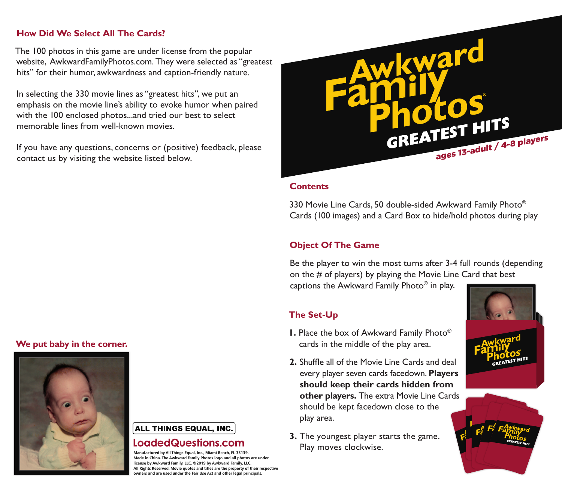### **How Did We Select All The Cards?**

The 100 photos in this game are under license from the popular website, AwkwardFamilyPhotos.com. They were selected as "greatest hits" for their humor, awkwardness and caption-friendly nature.

In selecting the 330 movie lines as "greatest hits", we put an emphasis on the movie line's ability to evoke humor when paired with the 100 enclosed photos...and tried our best to select memorable lines from well-known movies.

If you have any questions, concerns or (positive) feedback, please contact us by visiting the website listed below.

# **We put baby in the corner.**



#### ALL THINGS EQUAL, INC.

## LoadedQuestions.com

**Manufactured by All Things Equal, Inc., Miami Beach, FL 33139. Made in China. The Awkward Family Photos logo and all photos are under license by Awkward Family, LLC. ©2019 by Awkward Family, LLC. All Rights Reserved. Movie quotes and titles are the property of their respective owners and are used under the Fair Use Act and other legal principals.**



#### **Contents**

330 Movie Line Cards, 50 double-sided Awkward Family Photo® Cards (100 images) and a Card Box to hide/hold photos during play

#### **Object Of The Game**

Be the player to win the most turns after 3-4 full rounds (depending on the # of players) by playing the Movie Line Card that best captions the Awkward Family Photo® in play.

### **The Set-Up**

- **1.** Place the box of Awkward Family Photo® cards in the middle of the play area.
- **2.** Shuffle all of the Movie Line Cards and deal every player seven cards facedown. **Players should keep their cards hidden from other players.** The extra Movie Line Cards should be kept facedown close to the play area.
- **3.** The youngest player starts the game. Play moves clockwise.